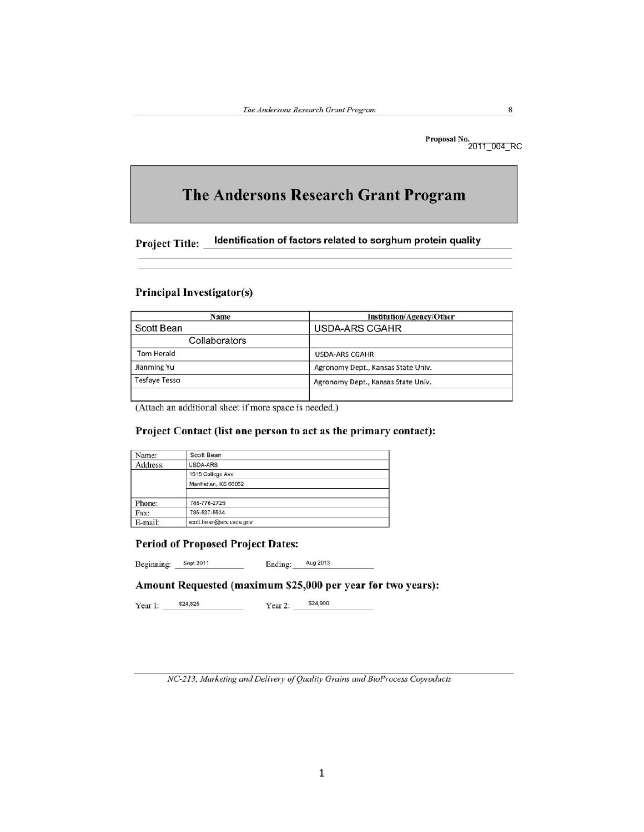$\bf 8$ 

Proposal No.<br>2011\_004\_RC

# The Andersons Research Grant Program

Identification of factors related to sorghum protein quality **Project Title:** 

#### **Principal Investigator(s)**

| Name                 | <b>Institution/Agency/Other</b>    |  |  |  |  |  |  |  |
|----------------------|------------------------------------|--|--|--|--|--|--|--|
| Scott Bean           | <b>USDA-ARS CGAHR</b>              |  |  |  |  |  |  |  |
| Collaborators        |                                    |  |  |  |  |  |  |  |
| <b>Tom Herald</b>    | <b>USDA-ARS CGAHR</b>              |  |  |  |  |  |  |  |
| Jianming Yu          | Agronomy Dept., Kansas State Univ. |  |  |  |  |  |  |  |
| <b>Tesfave Tesso</b> | Agronomy Dept., Kansas State Univ. |  |  |  |  |  |  |  |
|                      |                                    |  |  |  |  |  |  |  |

(Attach an additional sheet if more space is needed.)

#### Project Contact (list one person to act as the primary contact):

| Name:    | Scott Bean              |  |
|----------|-------------------------|--|
| Address: | USDA-ARS                |  |
|          | 1515 College Ave        |  |
|          | Manhattan, KS 66052     |  |
| Phone:   | 785-776-2725            |  |
| Fax:     | 785-537-5534            |  |
| E-mail:  | scott.bean@ars.usda.gov |  |

#### **Period of Proposed Project Dates:**

Beginning: Sept 2011 Ending: Aug 2013

### Amount Requested (maximum \$25,000 per year for two years):

\$24,825 \$24,900 Year 1: Year 2:

NC-213, Marketing and Delivery of Quality Grains and BioProcess Coproducts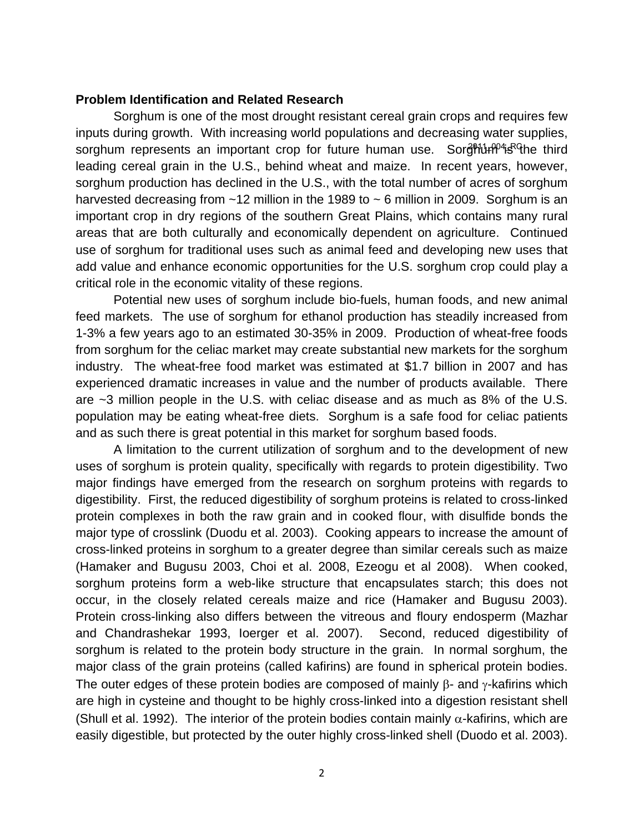## **Problem Identification and Related Research**

 Sorghum is one of the most drought resistant cereal grain crops and requires few inputs during growth. With increasing world populations and decreasing water supplies, sorghum represents an important crop for future human use. Sor<del>gMun<sup>po</sup>is C</del>he third leading cereal grain in the U.S., behind wheat and maize. In recent years, however, sorghum production has declined in the U.S., with the total number of acres of sorghum harvested decreasing from  $~12$  million in the 1989 to  $~5$  million in 2009. Sorghum is an important crop in dry regions of the southern Great Plains, which contains many rural areas that are both culturally and economically dependent on agriculture. Continued use of sorghum for traditional uses such as animal feed and developing new uses that add value and enhance economic opportunities for the U.S. sorghum crop could play a critical role in the economic vitality of these regions.

Potential new uses of sorghum include bio-fuels, human foods, and new animal feed markets. The use of sorghum for ethanol production has steadily increased from 1-3% a few years ago to an estimated 30-35% in 2009. Production of wheat-free foods from sorghum for the celiac market may create substantial new markets for the sorghum industry. The wheat-free food market was estimated at \$1.7 billion in 2007 and has experienced dramatic increases in value and the number of products available. There are ~3 million people in the U.S. with celiac disease and as much as 8% of the U.S. population may be eating wheat-free diets. Sorghum is a safe food for celiac patients and as such there is great potential in this market for sorghum based foods.

A limitation to the current utilization of sorghum and to the development of new uses of sorghum is protein quality, specifically with regards to protein digestibility. Two major findings have emerged from the research on sorghum proteins with regards to digestibility. First, the reduced digestibility of sorghum proteins is related to cross-linked protein complexes in both the raw grain and in cooked flour, with disulfide bonds the major type of crosslink (Duodu et al. 2003). Cooking appears to increase the amount of cross-linked proteins in sorghum to a greater degree than similar cereals such as maize (Hamaker and Bugusu 2003, Choi et al. 2008, Ezeogu et al 2008). When cooked, sorghum proteins form a web-like structure that encapsulates starch; this does not occur, in the closely related cereals maize and rice (Hamaker and Bugusu 2003). Protein cross-linking also differs between the vitreous and floury endosperm (Mazhar and Chandrashekar 1993, Ioerger et al. 2007). Second, reduced digestibility of sorghum is related to the protein body structure in the grain. In normal sorghum, the major class of the grain proteins (called kafirins) are found in spherical protein bodies. The outer edges of these protein bodies are composed of mainly  $\beta$ - and  $\gamma$ -kafirins which are high in cysteine and thought to be highly cross-linked into a digestion resistant shell (Shull et al. 1992). The interior of the protein bodies contain mainly  $\alpha$ -kafirins, which are easily digestible, but protected by the outer highly cross-linked shell (Duodo et al. 2003).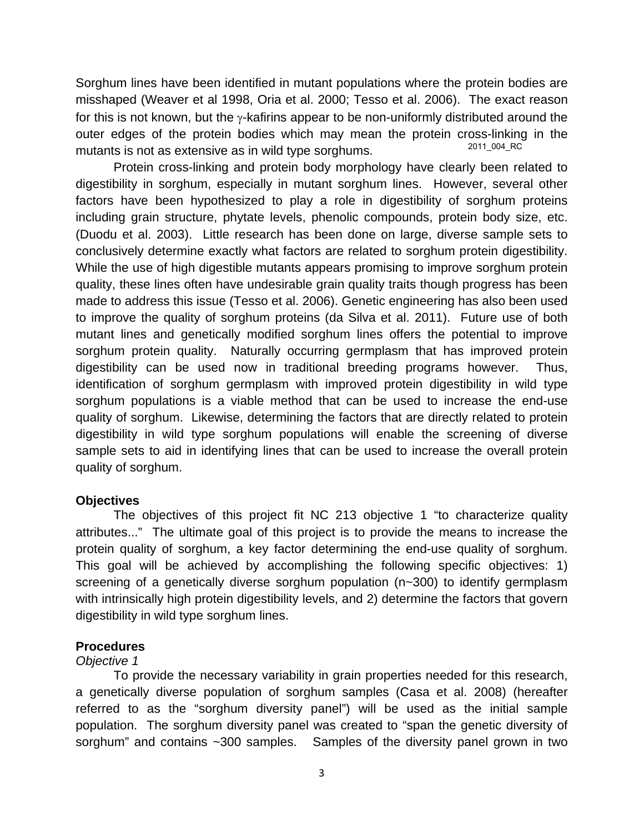Sorghum lines have been identified in mutant populations where the protein bodies are misshaped (Weaver et al 1998, Oria et al. 2000; Tesso et al. 2006). The exact reason for this is not known, but the γ-kafirins appear to be non-uniformly distributed around the outer edges of the protein bodies which may mean the protein cross-linking in the mutants is not as extensive as in wild type sorghums. 2011\_004\_RC

 Protein cross-linking and protein body morphology have clearly been related to digestibility in sorghum, especially in mutant sorghum lines. However, several other factors have been hypothesized to play a role in digestibility of sorghum proteins including grain structure, phytate levels, phenolic compounds, protein body size, etc. (Duodu et al. 2003). Little research has been done on large, diverse sample sets to conclusively determine exactly what factors are related to sorghum protein digestibility. While the use of high digestible mutants appears promising to improve sorghum protein quality, these lines often have undesirable grain quality traits though progress has been made to address this issue (Tesso et al. 2006). Genetic engineering has also been used to improve the quality of sorghum proteins (da Silva et al. 2011). Future use of both mutant lines and genetically modified sorghum lines offers the potential to improve sorghum protein quality. Naturally occurring germplasm that has improved protein digestibility can be used now in traditional breeding programs however. Thus, identification of sorghum germplasm with improved protein digestibility in wild type sorghum populations is a viable method that can be used to increase the end-use quality of sorghum. Likewise, determining the factors that are directly related to protein digestibility in wild type sorghum populations will enable the screening of diverse sample sets to aid in identifying lines that can be used to increase the overall protein quality of sorghum.

## **Objectives**

The objectives of this project fit NC 213 objective 1 "to characterize quality attributes..." The ultimate goal of this project is to provide the means to increase the protein quality of sorghum, a key factor determining the end-use quality of sorghum. This goal will be achieved by accomplishing the following specific objectives: 1) screening of a genetically diverse sorghum population (n~300) to identify germplasm with intrinsically high protein digestibility levels, and 2) determine the factors that govern digestibility in wild type sorghum lines.

## **Procedures**

## *Objective 1*

To provide the necessary variability in grain properties needed for this research, a genetically diverse population of sorghum samples (Casa et al. 2008) (hereafter referred to as the "sorghum diversity panel") will be used as the initial sample population. The sorghum diversity panel was created to "span the genetic diversity of sorghum" and contains ~300 samples. Samples of the diversity panel grown in two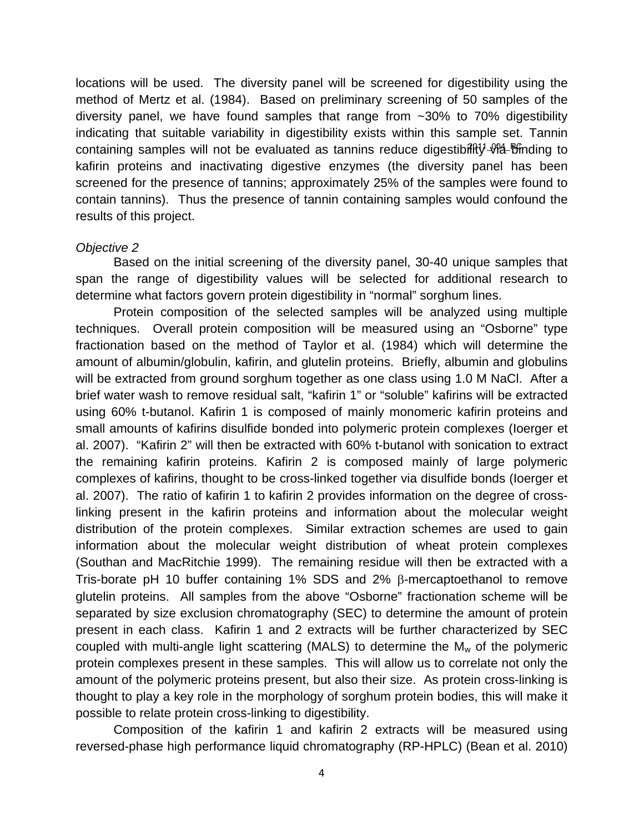locations will be used. The diversity panel will be screened for digestibility using the method of Mertz et al. (1984). Based on preliminary screening of 50 samples of the diversity panel, we have found samples that range from ~30% to 70% digestibility indicating that suitable variability in digestibility exists within this sample set. Tannin containing samples will not be evaluated as tannins reduce digestibiffty-Vla-Bfinding to kafirin proteins and inactivating digestive enzymes (the diversity panel has been screened for the presence of tannins; approximately 25% of the samples were found to contain tannins). Thus the presence of tannin containing samples would confound the results of this project.

## *Objective 2*

Based on the initial screening of the diversity panel, 30-40 unique samples that span the range of digestibility values will be selected for additional research to determine what factors govern protein digestibility in "normal" sorghum lines.

Protein composition of the selected samples will be analyzed using multiple techniques. Overall protein composition will be measured using an "Osborne" type fractionation based on the method of Taylor et al. (1984) which will determine the amount of albumin/globulin, kafirin, and glutelin proteins. Briefly, albumin and globulins will be extracted from ground sorghum together as one class using 1.0 M NaCl. After a brief water wash to remove residual salt, "kafirin 1" or "soluble" kafirins will be extracted using 60% t-butanol. Kafirin 1 is composed of mainly monomeric kafirin proteins and small amounts of kafirins disulfide bonded into polymeric protein complexes (Ioerger et al. 2007). "Kafirin 2" will then be extracted with 60% t-butanol with sonication to extract the remaining kafirin proteins. Kafirin 2 is composed mainly of large polymeric complexes of kafirins, thought to be cross-linked together via disulfide bonds (Ioerger et al. 2007). The ratio of kafirin 1 to kafirin 2 provides information on the degree of crosslinking present in the kafirin proteins and information about the molecular weight distribution of the protein complexes. Similar extraction schemes are used to gain information about the molecular weight distribution of wheat protein complexes (Southan and MacRitchie 1999). The remaining residue will then be extracted with a Tris-borate pH 10 buffer containing 1% SDS and 2% β-mercaptoethanol to remove glutelin proteins. All samples from the above "Osborne" fractionation scheme will be separated by size exclusion chromatography (SEC) to determine the amount of protein present in each class. Kafirin 1 and 2 extracts will be further characterized by SEC coupled with multi-angle light scattering (MALS) to determine the  $M_w$  of the polymeric protein complexes present in these samples. This will allow us to correlate not only the amount of the polymeric proteins present, but also their size. As protein cross-linking is thought to play a key role in the morphology of sorghum protein bodies, this will make it possible to relate protein cross-linking to digestibility.

Composition of the kafirin 1 and kafirin 2 extracts will be measured using reversed-phase high performance liquid chromatography (RP-HPLC) (Bean et al. 2010)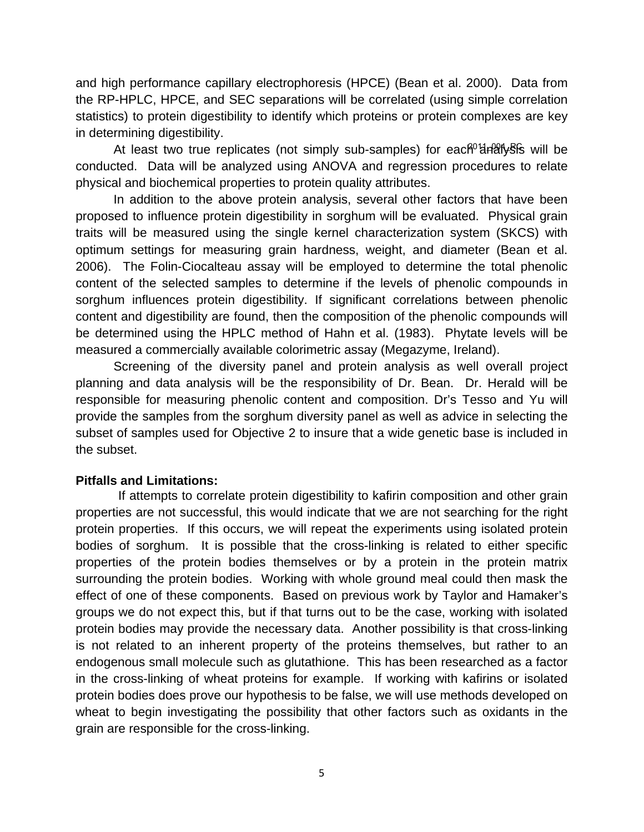and high performance capillary electrophoresis (HPCE) (Bean et al. 2000). Data from the RP-HPLC, HPCE, and SEC separations will be correlated (using simple correlation statistics) to protein digestibility to identify which proteins or protein complexes are key in determining digestibility.

At least two true replicates (not simply sub-samples) for each<sup>o1</sup>analySis will be conducted. Data will be analyzed using ANOVA and regression procedures to relate physical and biochemical properties to protein quality attributes.

In addition to the above protein analysis, several other factors that have been proposed to influence protein digestibility in sorghum will be evaluated. Physical grain traits will be measured using the single kernel characterization system (SKCS) with optimum settings for measuring grain hardness, weight, and diameter (Bean et al. 2006). The Folin-Ciocalteau assay will be employed to determine the total phenolic content of the selected samples to determine if the levels of phenolic compounds in sorghum influences protein digestibility. If significant correlations between phenolic content and digestibility are found, then the composition of the phenolic compounds will be determined using the HPLC method of Hahn et al. (1983). Phytate levels will be measured a commercially available colorimetric assay (Megazyme, Ireland).

Screening of the diversity panel and protein analysis as well overall project planning and data analysis will be the responsibility of Dr. Bean. Dr. Herald will be responsible for measuring phenolic content and composition. Dr's Tesso and Yu will provide the samples from the sorghum diversity panel as well as advice in selecting the subset of samples used for Objective 2 to insure that a wide genetic base is included in the subset.

## **Pitfalls and Limitations:**

 If attempts to correlate protein digestibility to kafirin composition and other grain properties are not successful, this would indicate that we are not searching for the right protein properties. If this occurs, we will repeat the experiments using isolated protein bodies of sorghum. It is possible that the cross-linking is related to either specific properties of the protein bodies themselves or by a protein in the protein matrix surrounding the protein bodies. Working with whole ground meal could then mask the effect of one of these components. Based on previous work by Taylor and Hamaker's groups we do not expect this, but if that turns out to be the case, working with isolated protein bodies may provide the necessary data. Another possibility is that cross-linking is not related to an inherent property of the proteins themselves, but rather to an endogenous small molecule such as glutathione. This has been researched as a factor in the cross-linking of wheat proteins for example. If working with kafirins or isolated protein bodies does prove our hypothesis to be false, we will use methods developed on wheat to begin investigating the possibility that other factors such as oxidants in the grain are responsible for the cross-linking.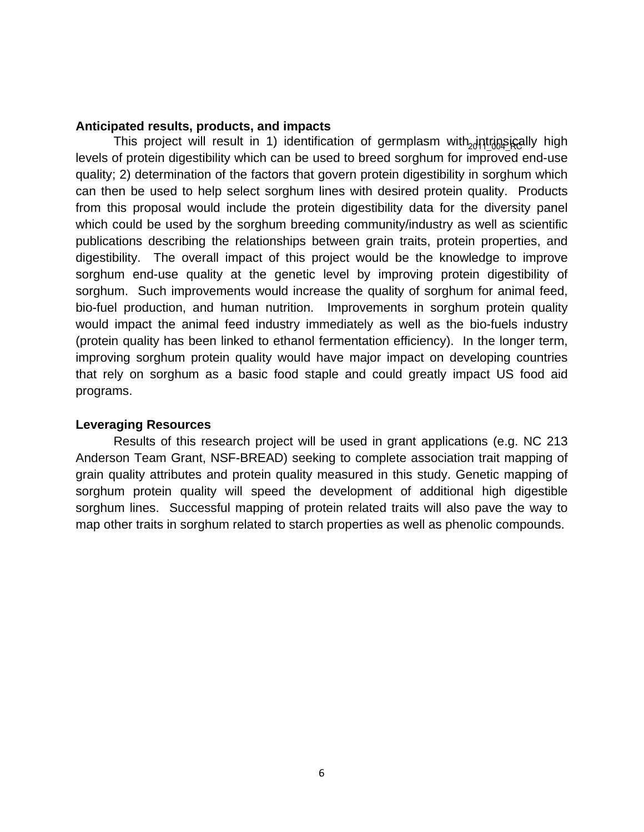### **Anticipated results, products, and impacts**

This project will result in 1) identification of germplasm with<sub>20</sub>jntrinsically high levels of protein digestibility which can be used to breed sorghum for improved end-use quality; 2) determination of the factors that govern protein digestibility in sorghum which can then be used to help select sorghum lines with desired protein quality. Products from this proposal would include the protein digestibility data for the diversity panel which could be used by the sorghum breeding community/industry as well as scientific publications describing the relationships between grain traits, protein properties, and digestibility. The overall impact of this project would be the knowledge to improve sorghum end-use quality at the genetic level by improving protein digestibility of sorghum. Such improvements would increase the quality of sorghum for animal feed, bio-fuel production, and human nutrition. Improvements in sorghum protein quality would impact the animal feed industry immediately as well as the bio-fuels industry (protein quality has been linked to ethanol fermentation efficiency). In the longer term, improving sorghum protein quality would have major impact on developing countries that rely on sorghum as a basic food staple and could greatly impact US food aid programs.

## **Leveraging Resources**

 Results of this research project will be used in grant applications (e.g. NC 213 Anderson Team Grant, NSF-BREAD) seeking to complete association trait mapping of grain quality attributes and protein quality measured in this study. Genetic mapping of sorghum protein quality will speed the development of additional high digestible sorghum lines. Successful mapping of protein related traits will also pave the way to map other traits in sorghum related to starch properties as well as phenolic compounds.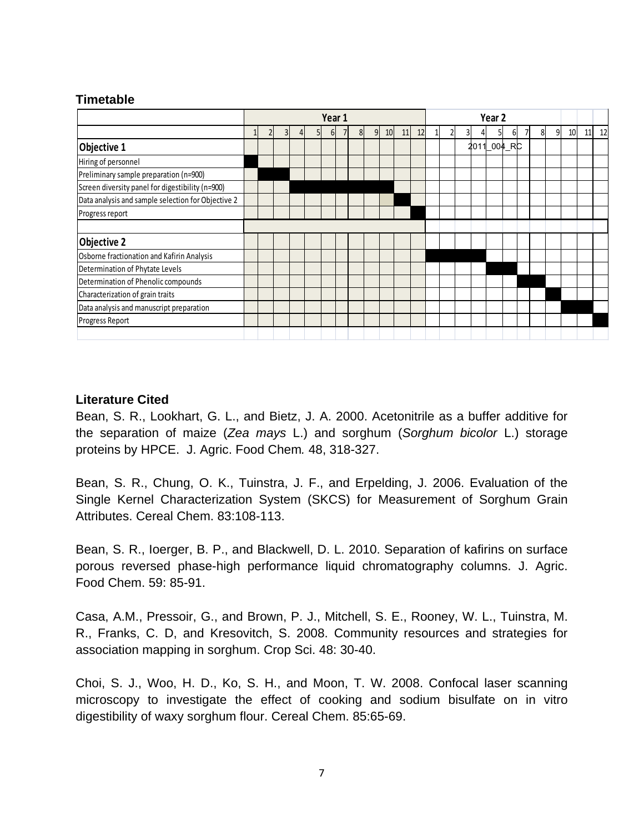# **Timetable**

|                                                    | Year 1 |  |                |  |                |          |  |                | Year <sub>2</sub> |    |    |    |  |  |    |      |     |    |    |    |   |    |    |    |
|----------------------------------------------------|--------|--|----------------|--|----------------|----------|--|----------------|-------------------|----|----|----|--|--|----|------|-----|----|----|----|---|----|----|----|
|                                                    |        |  | 3 <sup>l</sup> |  | 5 <sub>l</sub> | $6 \mid$ |  | 8 <sup>1</sup> | 9 <sub>l</sub>    | 10 | 11 | 12 |  |  | 31 |      | 51  | 61 |    | 81 | 9 | 10 | 11 | 12 |
| Objective 1                                        |        |  |                |  |                |          |  |                |                   |    |    |    |  |  |    | 2011 | 004 |    | RC |    |   |    |    |    |
| Hiring of personnel                                |        |  |                |  |                |          |  |                |                   |    |    |    |  |  |    |      |     |    |    |    |   |    |    |    |
| Preliminary sample preparation (n=900)             |        |  |                |  |                |          |  |                |                   |    |    |    |  |  |    |      |     |    |    |    |   |    |    |    |
| Screen diversity panel for digestibility (n=900)   |        |  |                |  |                |          |  |                |                   |    |    |    |  |  |    |      |     |    |    |    |   |    |    |    |
| Data analysis and sample selection for Objective 2 |        |  |                |  |                |          |  |                |                   |    |    |    |  |  |    |      |     |    |    |    |   |    |    |    |
| Progress report                                    |        |  |                |  |                |          |  |                |                   |    |    |    |  |  |    |      |     |    |    |    |   |    |    |    |
|                                                    |        |  |                |  |                |          |  |                |                   |    |    |    |  |  |    |      |     |    |    |    |   |    |    |    |
| <b>Objective 2</b>                                 |        |  |                |  |                |          |  |                |                   |    |    |    |  |  |    |      |     |    |    |    |   |    |    |    |
| Osborne fractionation and Kafirin Analysis         |        |  |                |  |                |          |  |                |                   |    |    |    |  |  |    |      |     |    |    |    |   |    |    |    |
| Determination of Phytate Levels                    |        |  |                |  |                |          |  |                |                   |    |    |    |  |  |    |      |     |    |    |    |   |    |    |    |
| Determination of Phenolic compounds                |        |  |                |  |                |          |  |                |                   |    |    |    |  |  |    |      |     |    |    |    |   |    |    |    |
| Characterization of grain traits                   |        |  |                |  |                |          |  |                |                   |    |    |    |  |  |    |      |     |    |    |    |   |    |    |    |
| Data analysis and manuscript preparation           |        |  |                |  |                |          |  |                |                   |    |    |    |  |  |    |      |     |    |    |    |   |    |    |    |
| Progress Report                                    |        |  |                |  |                |          |  |                |                   |    |    |    |  |  |    |      |     |    |    |    |   |    |    |    |
|                                                    |        |  |                |  |                |          |  |                |                   |    |    |    |  |  |    |      |     |    |    |    |   |    |    |    |

# **Literature Cited**

Bean, S. R., Lookhart, G. L., and Bietz, J. A. 2000. Acetonitrile as a buffer additive for the separation of maize (*Zea mays* L.) and sorghum (*Sorghum bicolor* L.) storage proteins by HPCE. J. Agric. Food Chem*.* 48, 318-327.

Bean, S. R., Chung, O. K., Tuinstra, J. F., and Erpelding, J. 2006. Evaluation of the Single Kernel Characterization System (SKCS) for Measurement of Sorghum Grain Attributes. Cereal Chem. 83:108-113.

Bean, S. R., Ioerger, B. P., and Blackwell, D. L. 2010. Separation of kafirins on surface porous reversed phase-high performance liquid chromatography columns. J. Agric. Food Chem. 59: 85-91.

Casa, A.M., Pressoir, G., and Brown, P. J., Mitchell, S. E., Rooney, W. L., Tuinstra, M. R., Franks, C. D, and Kresovitch, S. 2008. Community resources and strategies for association mapping in sorghum. Crop Sci. 48: 30-40.

Choi, S. J., Woo, H. D., Ko, S. H., and Moon, T. W. 2008. Confocal laser scanning microscopy to investigate the effect of cooking and sodium bisulfate on in vitro digestibility of waxy sorghum flour. Cereal Chem. 85:65-69.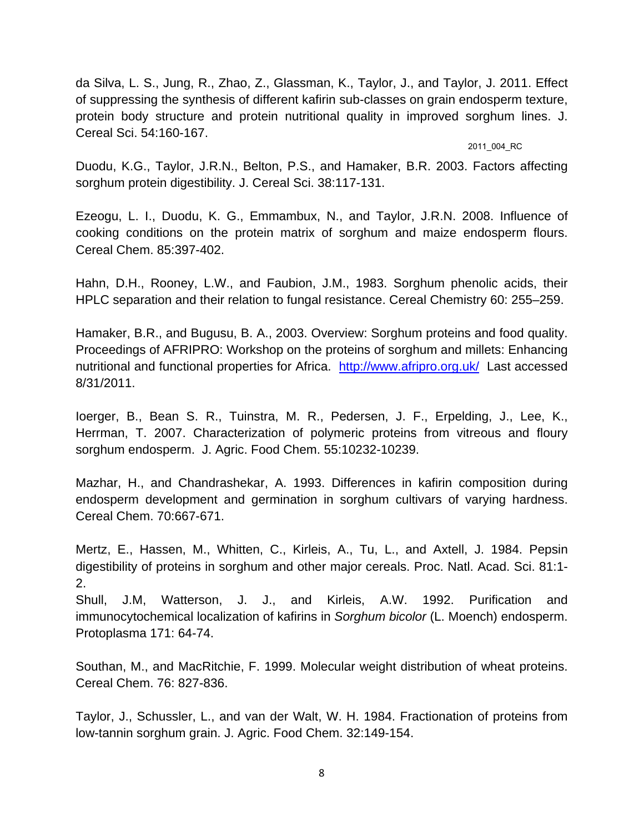da Silva, L. S., Jung, R., Zhao, Z., Glassman, K., Taylor, J., and Taylor, J. 2011. Effect of suppressing the synthesis of different kafirin sub-classes on grain endosperm texture, protein body structure and protein nutritional quality in improved sorghum lines. J. Cereal Sci. 54:160-167.

#### 2011\_004\_RC

Duodu, K.G., Taylor, J.R.N., Belton, P.S., and Hamaker, B.R. 2003. Factors affecting sorghum protein digestibility. J. Cereal Sci. 38:117-131.

Ezeogu, L. I., Duodu, K. G., Emmambux, N., and Taylor, J.R.N. 2008. Influence of cooking conditions on the protein matrix of sorghum and maize endosperm flours. Cereal Chem. 85:397-402.

Hahn, D.H., Rooney, L.W., and Faubion, J.M., 1983. Sorghum phenolic acids, their HPLC separation and their relation to fungal resistance. Cereal Chemistry 60: 255–259.

Hamaker, B.R., and Bugusu, B. A., 2003. Overview: Sorghum proteins and food quality. Proceedings of AFRIPRO: Workshop on the proteins of sorghum and millets: Enhancing nutritional and functional properties for Africa. http://www.afripro.org.uk/ Last accessed 8/31/2011.

Ioerger, B., Bean S. R., Tuinstra, M. R., Pedersen, J. F., Erpelding, J., Lee, K., Herrman, T. 2007. Characterization of polymeric proteins from vitreous and floury sorghum endosperm. J. Agric. Food Chem. 55:10232-10239.

Mazhar, H., and Chandrashekar, A. 1993. Differences in kafirin composition during endosperm development and germination in sorghum cultivars of varying hardness. Cereal Chem. 70:667-671.

Mertz, E., Hassen, M., Whitten, C., Kirleis, A., Tu, L., and Axtell, J. 1984. Pepsin digestibility of proteins in sorghum and other major cereals. Proc. Natl. Acad. Sci. 81:1- 2.

Shull, J.M, Watterson, J. J., and Kirleis, A.W. 1992. Purification and immunocytochemical localization of kafirins in *Sorghum bicolor* (L. Moench) endosperm. Protoplasma 171: 64-74.

Southan, M., and MacRitchie, F. 1999. Molecular weight distribution of wheat proteins. Cereal Chem. 76: 827-836.

Taylor, J., Schussler, L., and van der Walt, W. H. 1984. Fractionation of proteins from low-tannin sorghum grain. J. Agric. Food Chem. 32:149-154.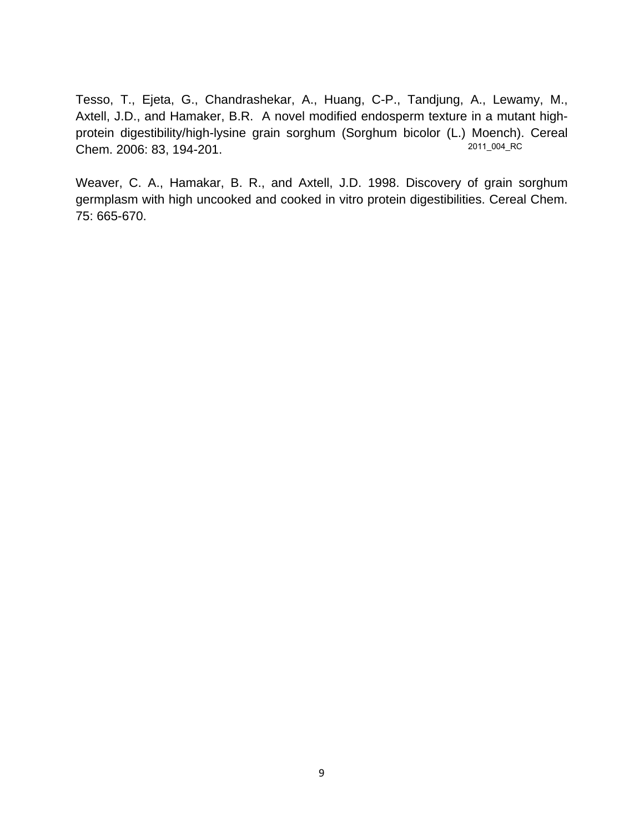Tesso, T., Ejeta, G., Chandrashekar, A., Huang, C-P., Tandjung, A., Lewamy, M., Axtell, J.D., and Hamaker, B.R. A novel modified endosperm texture in a mutant highprotein digestibility/high-lysine grain sorghum (Sorghum bicolor (L.) Moench). Cereal Chem. 2006: 83, 194-201. 2011\_004\_RC

Weaver, C. A., Hamakar, B. R., and Axtell, J.D. 1998. Discovery of grain sorghum germplasm with high uncooked and cooked in vitro protein digestibilities. Cereal Chem. 75: 665-670.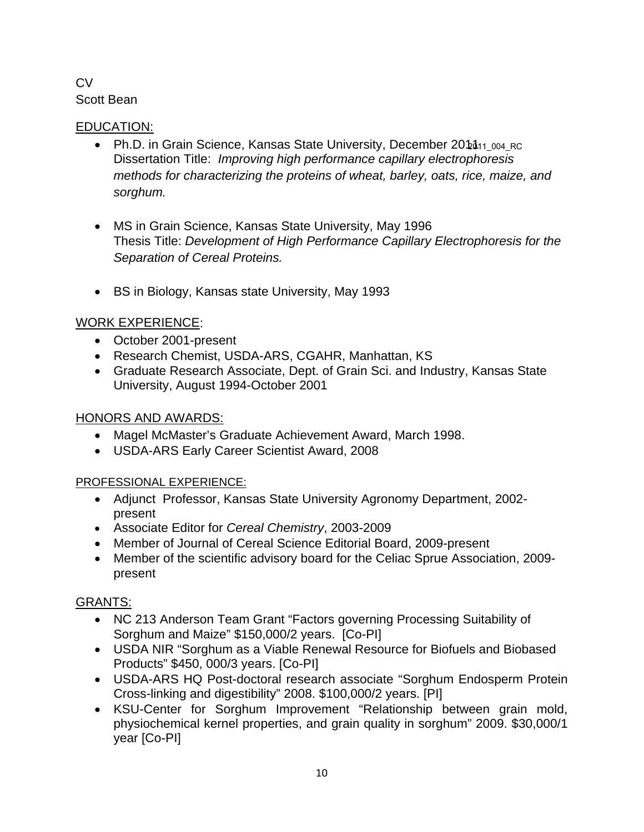# **CV** Scott Bean

# EDUCATION:

- Ph.D. in Grain Science, Kansas State University, December 20111<sub>1004\_RC</sub> Dissertation Title: *Improving high performance capillary electrophoresis methods for characterizing the proteins of wheat, barley, oats, rice, maize, and sorghum.*
- MS in Grain Science, Kansas State University, May 1996 Thesis Title: *Development of High Performance Capillary Electrophoresis for the Separation of Cereal Proteins.*
- BS in Biology, Kansas state University, May 1993

# WORK EXPERIENCE:

- October 2001-present
- Research Chemist, USDA-ARS, CGAHR, Manhattan, KS
- Graduate Research Associate, Dept. of Grain Sci. and Industry, Kansas State University, August 1994-October 2001

# HONORS AND AWARDS:

- Magel McMaster's Graduate Achievement Award, March 1998.
- USDA-ARS Early Career Scientist Award, 2008

# PROFESSIONAL EXPERIENCE:

- Adjunct Professor, Kansas State University Agronomy Department, 2002 present
- Associate Editor for *Cereal Chemistry*, 2003-2009
- Member of Journal of Cereal Science Editorial Board, 2009-present
- Member of the scientific advisory board for the Celiac Sprue Association, 2009 present

# GRANTS:

- NC 213 Anderson Team Grant "Factors governing Processing Suitability of Sorghum and Maize" \$150,000/2 years. [Co-PI]
- USDA NIR "Sorghum as a Viable Renewal Resource for Biofuels and Biobased Products" \$450, 000/3 years. [Co-PI]
- USDA-ARS HQ Post-doctoral research associate "Sorghum Endosperm Protein Cross-linking and digestibility" 2008. \$100,000/2 years. [PI]
- KSU-Center for Sorghum Improvement "Relationship between grain mold, physiochemical kernel properties, and grain quality in sorghum" 2009. \$30,000/1 year [Co-PI]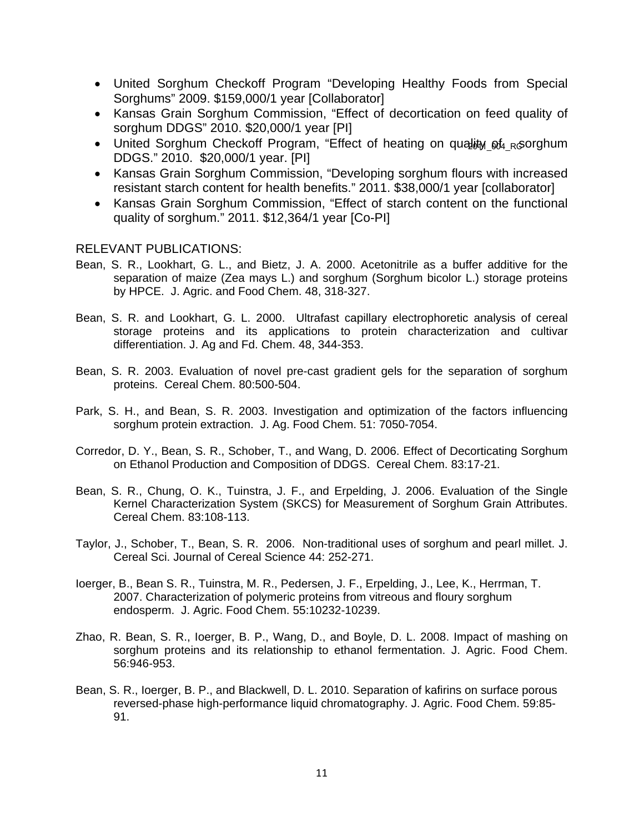- United Sorghum Checkoff Program "Developing Healthy Foods from Special Sorghums" 2009. \$159,000/1 year [Collaborator]
- Kansas Grain Sorghum Commission, "Effect of decortication on feed quality of sorghum DDGS" 2010. \$20,000/1 year [PI]
- United Sorghum Checkoff Program, "Effect of heating on quality of <sub>RG</sub>orghum DDGS." 2010. \$20,000/1 year. [PI]
- Kansas Grain Sorghum Commission, "Developing sorghum flours with increased resistant starch content for health benefits." 2011. \$38,000/1 year [collaborator]
- Kansas Grain Sorghum Commission, "Effect of starch content on the functional quality of sorghum." 2011. \$12,364/1 year [Co-PI]

## RELEVANT PUBLICATIONS:

- Bean, S. R., Lookhart, G. L., and Bietz, J. A. 2000. Acetonitrile as a buffer additive for the separation of maize (Zea mays L.) and sorghum (Sorghum bicolor L.) storage proteins by HPCE. J. Agric. and Food Chem. 48, 318-327.
- Bean, S. R. and Lookhart, G. L. 2000. Ultrafast capillary electrophoretic analysis of cereal storage proteins and its applications to protein characterization and cultivar differentiation. J. Ag and Fd. Chem. 48, 344-353.
- Bean, S. R. 2003. Evaluation of novel pre-cast gradient gels for the separation of sorghum proteins. Cereal Chem. 80:500-504.
- Park, S. H., and Bean, S. R. 2003. Investigation and optimization of the factors influencing sorghum protein extraction. J. Ag. Food Chem. 51: 7050-7054.
- Corredor, D. Y., Bean, S. R., Schober, T., and Wang, D. 2006. Effect of Decorticating Sorghum on Ethanol Production and Composition of DDGS. Cereal Chem. 83:17-21.
- Bean, S. R., Chung, O. K., Tuinstra, J. F., and Erpelding, J. 2006. Evaluation of the Single Kernel Characterization System (SKCS) for Measurement of Sorghum Grain Attributes. Cereal Chem. 83:108-113.
- Taylor, J., Schober, T., Bean, S. R. 2006. Non-traditional uses of sorghum and pearl millet. J. Cereal Sci. Journal of Cereal Science 44: 252-271.
- Ioerger, B., Bean S. R., Tuinstra, M. R., Pedersen, J. F., Erpelding, J., Lee, K., Herrman, T. 2007. Characterization of polymeric proteins from vitreous and floury sorghum endosperm. J. Agric. Food Chem. 55:10232-10239.
- Zhao, R. Bean, S. R., Ioerger, B. P., Wang, D., and Boyle, D. L. 2008. Impact of mashing on sorghum proteins and its relationship to ethanol fermentation. J. Agric. Food Chem. 56:946-953.
- Bean, S. R., Ioerger, B. P., and Blackwell, D. L. 2010. Separation of kafirins on surface porous reversed-phase high-performance liquid chromatography. J. Agric. Food Chem. 59:85- 91.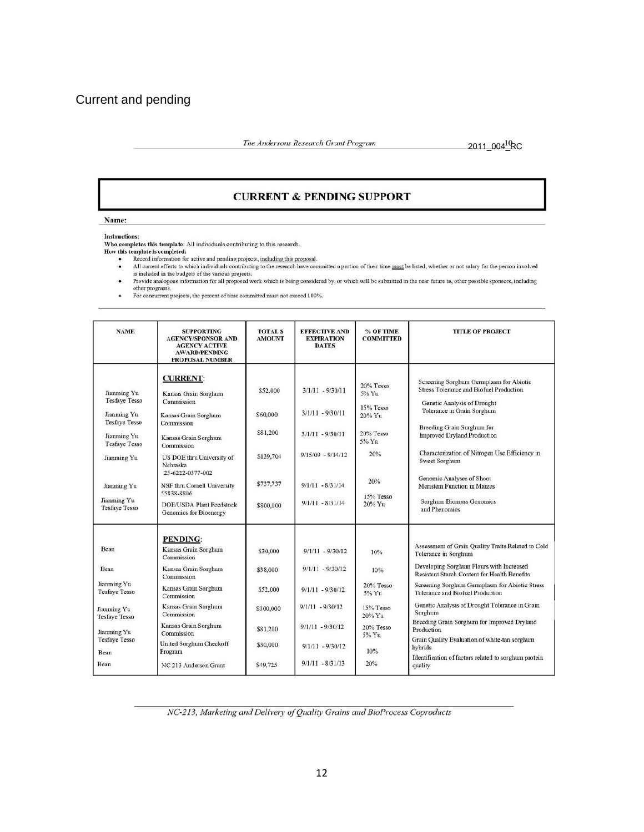The Andersons Research Grant Program

2011\_004<sup>10</sup>RC

## **CURRENT & PENDING SUPPORT**

Name:

**Instructions:** 

Who completes this template: All individuals contributing to this research.

- 
- How this template is completed:<br>
Record information for active and pending projects, <u>including this proposal</u>.<br>
All current efforts to which individuals contributing to the research have committed a portion of their is included in the budgets of the various projects.<br>Provide analogous information for all proposed work which is being considered by, or which will be submitted in the near future to, other possible sponsors, including
	- $\bullet$ other programs.<br>The programs of the proposed work which is being considered that the programs.
	-

| <b>NAME</b>                                                                                                                                                                            | <b>SUPPORTING</b><br><b>AGENCY/SPONSOR AND</b><br><b>AGENCY ACTIVE</b><br><b>AWARD/PENDING</b><br><b>PROPOSAL NUMBER</b>                                                                                                                                                                                 | <b>TOTAL S</b><br><b>AMOUNT</b>                                                   | <b>EFFECTIVE AND</b><br><b>EXPIRATION</b><br><b>DATES</b>                                                                                              | % OF TIME<br><b>COMMITTED</b>                                                                        | <b>TITLE OF PROJECT</b>                                                                                                                                                                                                                                                                                                                                                                                                                                                                                               |
|----------------------------------------------------------------------------------------------------------------------------------------------------------------------------------------|----------------------------------------------------------------------------------------------------------------------------------------------------------------------------------------------------------------------------------------------------------------------------------------------------------|-----------------------------------------------------------------------------------|--------------------------------------------------------------------------------------------------------------------------------------------------------|------------------------------------------------------------------------------------------------------|-----------------------------------------------------------------------------------------------------------------------------------------------------------------------------------------------------------------------------------------------------------------------------------------------------------------------------------------------------------------------------------------------------------------------------------------------------------------------------------------------------------------------|
| Jianming Yu<br><b>Tesfaye Tesso</b><br>Jianming Yu<br><b>Tesfaye Tesso</b><br>Jianming Yu<br><b>Tesfaye Tesso</b><br>Jianming Yu<br>Jianming Yu<br>Jianming Yu<br><b>Tesfaye Tesso</b> | <b>CURRENT:</b><br>Kansas Grain Sorghum<br>Commission<br>Kansas Grain Sorghum<br>Commission<br>Kansas Grain Sorghum<br>Commission<br>US DOE thru University of<br>Nehraska<br>25-6222-0377-002<br>NSF thru Cornell University<br>55838-8806<br><b>DOE/USDA Plant Feedstock</b><br>Genomics for Bioenergy | \$52,000<br>\$60,000<br>\$81,200<br>\$139,704<br>\$737,737<br>\$800,000           | $3/1/11 - 9/30/11$<br>$3/1/11 - 9/30/11$<br>$3/1/11 - 9/30/11$<br>$9/15/09 - 9/14/12$<br>$9/1/11 - 8/31/14$<br>$9/1/11 - 8/31/14$                      | 20% Tesso<br>5% Yu<br>15% Tesso<br>20% Yu<br>20% Tesso<br>5% Yu<br>20%<br>20%<br>15% Tesso<br>20% Yu | Screening Sorghum Germplasm for Abiotic<br><b>Stress Tolerance and Biofuel Production</b><br>Genetic Analysis of Drought<br>Tolerance in Grain Sorghum<br>Breeding Grain Sorghum for<br><b>Improved Dryland Production</b><br>Characterization of Nitrogen Use Efficiency in<br>Sweet Sorghum<br>Genomic Analyses of Shoot<br>Meristem Function in Maizes<br>Sorghum Biomass Genomics<br>and Phenomics                                                                                                                |
| Bean<br>Bean<br>Jianming Yu<br><b>Tesfaye Tesso</b><br>Jianming Yu<br><b>Tesfaye Tesso</b><br>Jianming Yu<br><b>Tesfaye Tesso</b><br>Bean<br>Bean                                      | <b>PENDING:</b><br>Kansas Grain Sorghum<br>Commission<br>Kansas Grain Sorghum<br>Commission<br>Kansas Grain Sorghum<br>Commission<br>Kansas Grain Sorghum<br>Commission<br>Kansas Grain Sorghum<br>Commission<br>United Sorghum Checkoff<br>Program<br>NC 213 Anderson Grant                             | \$30,000<br>\$38,000<br>\$52,000<br>\$100,000<br>\$81,200<br>\$30,000<br>\$49,725 | $9/1/11 - 9/30/12$<br>$9/1/11 - 9/30/12$<br>$9/1/11 - 9/30/12$<br>$9/1/11 - 9/30/12$<br>$9/1/11 - 9/30/12$<br>$9/1/11 - 9/30/12$<br>$9/1/11 - 8/31/13$ | 10%<br>10%<br>20% Tesso<br>5% Yu<br>15% Tesso<br>20% Yu<br>20% Tesso<br>5% Yu<br>10%<br>20%          | Assessment of Grain Quality Traits Related to Cold<br>Tolerance in Sorghum<br>Developing Sorghum Flours with Increased<br>Resistant Starch Content for Health Benefits<br>Screening Sorghum Germplasm for Abiotic Stress<br>Tolerance and Biofuel Production<br>Genetic Analysis of Drought Tolerance in Grain<br>Sorghum<br>Breeding Grain Sorghum for Improved Dryland<br>Production<br>Grain Quality Evaluation of white-tan sorghum<br>hybrids<br>Identification of factors related to sorghum protein<br>quality |

NC-213, Marketing and Delivery of Quality Grains and BioProcess Coproducts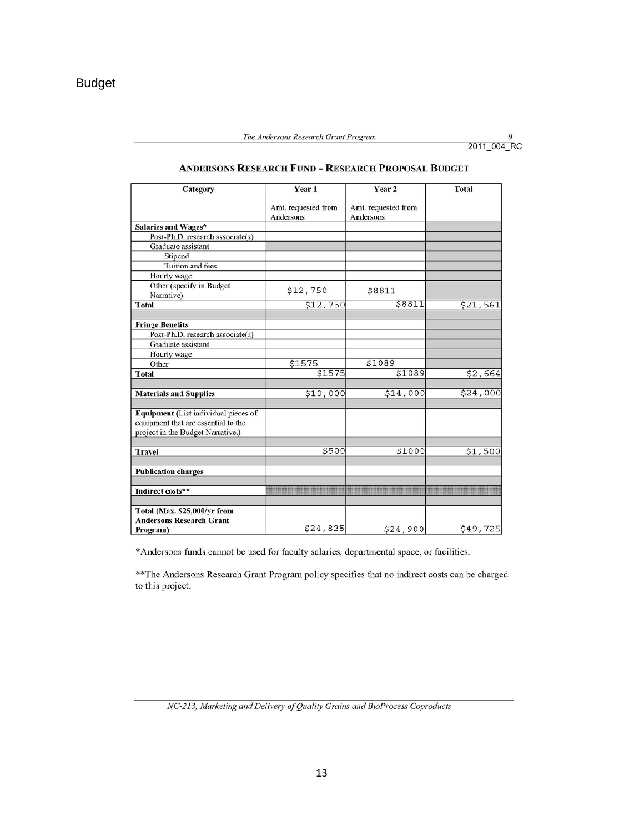| Category                                                        | Year 1                           | Year 2                           | Total    |
|-----------------------------------------------------------------|----------------------------------|----------------------------------|----------|
|                                                                 | Amt. requested from<br>Andersons | Amt. requested from<br>Andersons |          |
| Salaries and Wages*                                             |                                  |                                  |          |
| Post-Ph.D. research associate(s)                                |                                  |                                  |          |
| Graduate assistant                                              |                                  |                                  |          |
| Stipend                                                         |                                  |                                  |          |
| Tuition and fees                                                |                                  |                                  |          |
| Hourly wage                                                     |                                  |                                  |          |
| Other (specify in Budget<br>Narrative)                          | \$12,750                         | \$8811                           |          |
| <b>Total</b>                                                    | \$12,750                         | \$8811                           | \$21,561 |
|                                                                 |                                  |                                  |          |
| <b>Fringe Benefits</b>                                          |                                  |                                  |          |
| Post-Ph.D. research associate(s)                                |                                  |                                  |          |
| Graduate assistant                                              |                                  |                                  |          |
| Hourly wage                                                     |                                  |                                  |          |
| Other                                                           | \$1575                           | \$1089                           |          |
| Total                                                           | \$1575                           | \$1089                           | \$2,664  |
|                                                                 |                                  |                                  |          |
| <b>Materials and Supplies</b>                                   | \$10,000                         | \$14,000                         | \$24,000 |
|                                                                 |                                  |                                  |          |
| <b>Equipment</b> (List individual pieces of                     |                                  |                                  |          |
| equipment that are essential to the                             |                                  |                                  |          |
| project in the Budget Narrative.)                               |                                  |                                  |          |
|                                                                 |                                  |                                  |          |
| <b>Travel</b>                                                   | \$500                            | \$1000                           | \$1,500  |
|                                                                 |                                  |                                  |          |
| <b>Publication charges</b>                                      |                                  |                                  |          |
|                                                                 |                                  |                                  |          |
| Indirect costs**                                                |                                  |                                  |          |
|                                                                 |                                  |                                  |          |
| Total (Max. \$25,000/yr from<br><b>Andersons Research Grant</b> |                                  |                                  |          |
|                                                                 | \$24,825                         | \$24,900                         | \$49,725 |
| Program)                                                        |                                  |                                  |          |

### ANDERSONS RESEARCH FUND - RESEARCH PROPOSAL BUDGET

\*Andersons funds cannot be used for faculty salaries, departmental space, or facilities.

\*\* The Andersons Research Grant Program policy specifies that no indirect costs can be charged to this project.

NC-213, Marketing and Delivery of Quality Grains and BioProcess Coproducts